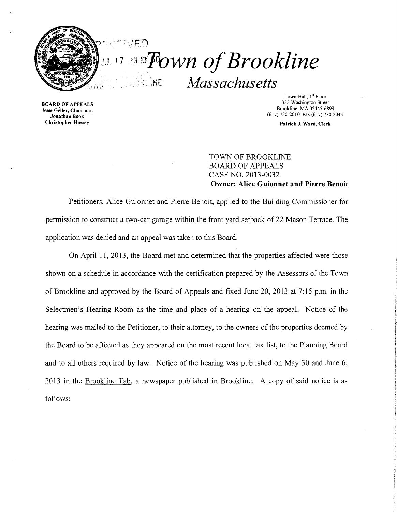

*Exam of Brookline*  $\blacksquare$ *Massachusetts*  **OKLINE** 

BOARD OF APPEALS Jesse Geller, Chairman Jonathan Book Christopher Hussey

Town Hall, 1st Floor 333 Washington Street Brookline, MA 02445-6899 (617) 730-2010 Fax (617) 730-2043

Patrick J. Ward, Clerk

TOWN OF BROOKLINE BOARD OF APPEALS CASE NO. 2013-0032 Owner: Alice Guionnet and Pierre Benoit

Petitioners, Alice Guionnet and Pierre Benoit, applied to the Building Commissioner for permission to construct a two-car garage within the front yard setback of 22 Mason Terrace. The application was denied and an appeal was taken to this Board.

On April 11, 2013, the Board met and determined that the properties affected were those shown on a schedule in accordance with the certification prepared by the Assessors of the Town of Brookline and approved by the Board of Appeals and fixed June 20, 2013 at 7:15 p.m. in the Selectmen's Hearing Room as the time and place of a hearing on the appeal. Notice of the hearing was mailed to the Petitioner, to their attorney, to the owners of the properties deemed by the Board to be affected as they appeared on the most recent local tax list, to the Planning Board and to all others required by law. Notice of the hearing was published on May 30 and June 6, 2013 in the Brookline Tab, a newspaper published in Brookline. A copy of said notice is as follows: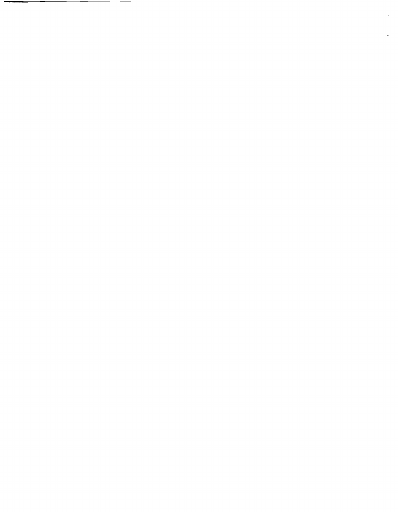$\label{eq:2.1} \frac{1}{\sqrt{2}}\sum_{i=1}^n\frac{1}{\sqrt{2}}\sum_{i=1}^n\frac{1}{\sqrt{2}}\sum_{i=1}^n\frac{1}{\sqrt{2}}\sum_{i=1}^n\frac{1}{\sqrt{2}}\sum_{i=1}^n\frac{1}{\sqrt{2}}\sum_{i=1}^n\frac{1}{\sqrt{2}}\sum_{i=1}^n\frac{1}{\sqrt{2}}\sum_{i=1}^n\frac{1}{\sqrt{2}}\sum_{i=1}^n\frac{1}{\sqrt{2}}\sum_{i=1}^n\frac{1}{\sqrt{2}}\sum_{i=1}^n\frac$ 

 $\mathbf{v}^{(i)}$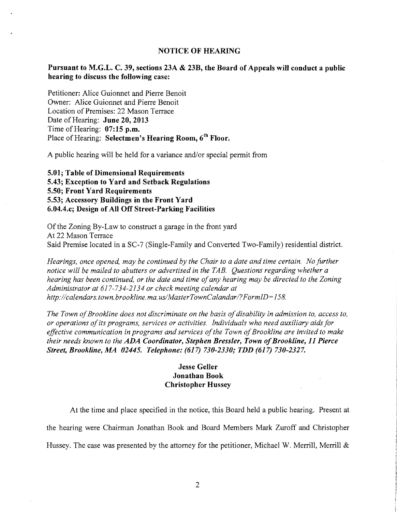## NOTICE OF HEARING

## Pursuant to M.G.L. C. 39, sections 23A & 23B, the Board of Appeals will conduct a public hearing to discuss the following case:

Petitioner: Alice Guionnet and Pierre Benoit Owner: Alice Guionnet and Pierre Benoit Location of Premises: 22 Mason Terrace Date of Hearing: June 20, 2013 Time of Hearing: 07:15 p.m. Place of Hearing: Selectmen's Hearing Room, 6<sup>th</sup> Floor.

A public hearing will be held for a variance and/or special permit from

5.01; Table of Dimensional Requirements 5.43; Exception to Yard and Setback Regulations 5.50; Front Yard Requirements 5.53; Accessory Buildings in the Front Yard 6.04.4.c; Design of All Off Street-Parking Facilities

Of the Zoning By-Law to construct a garage in the front yard At 22 Mason Terrace Said Premise located in a SC-7 (Single-Family and Converted Two-Family) residential district.

*Hearings, once opened, may be continued by the Chair to a date and time certain. No further notice will be mailed to abutters or advertised in the TAB. Questions regarding whether a hearing has been continued, or the date and time ofany hearing may be directed to the Zoning Administrator at* 617-734-2134 *or check meeting calendar at*  http://calendars.town.brookline.ma.us/MasterTownCalandar/? FormID=158.

*The Town of Brookline does not discriminate on the basis of disability in admission to, access to, or operations ofits programs, services or activities. Individuals who need auxiliary aids for*  effective communication in programs and services of the Town of Brookline are invited to make *their needs known to the ADA Coordinator, Stephen Bressler, Town of Brookline, 11 Pierce Street, Brookline, MA 02445. Telephone:* (617) *730-2330; TDD* (617) *730-2327.* 

## Jesse Geller Jonathan Book Christopher Hussey

At the time and place specified in the notice, this Board held a public hearing. Present at the hearing were Chairman Jonathan Book and Board Members Mark Zuroff and Christopher Hussey. The case was presented by the attorney for the petitioner, Michael W. Merrill, Merrill  $\&$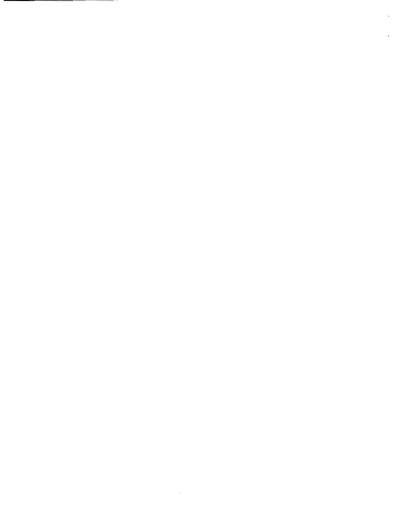$\Delta \sim 10^4$ 

 $\ddot{\phantom{0}}$ 

 $\omega_{\rm{eff}}$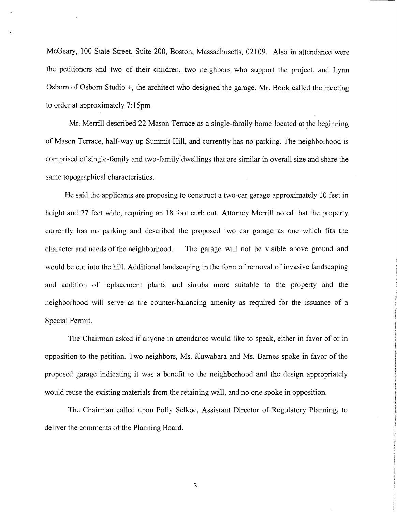McGeary, 100 State Street, Suite 200, Boston, Massachusetts, 02109. Also in attendance were the petitioners and two of their children, two neighbors who support the project, and Lynn Osborn of Osborn Studio  $+$ , the architect who designed the garage. Mr. Book called the meeting to order at approximately 7: 15pm

Mr. Merrill described 22 Mason Terrace as a single-family home located at the beginning of Mason Terrace, half-way up Summit Hill, and currently has no parking. The neighborhood is comprised of single-family and two-family dwellings that are similar in overall size and share the same topographical characteristics.

He said the applicants are proposing to construct a two-car garage approximately 10 feet in height and 27 feet wide, requiring an 18 foot curb cut Attorney Merrill noted that the property currently has no parking and described the proposed two car garage as one which fits the character and needs ofthe neighborhood. The garage will not be visible above ground and would be cut into the hilL Additional landscaping in the form of removal of invasive landscaping and addition of replacement plants and shrubs more suitable to the property and the neighborhood will serve as the counter-balancing amenity as required for the issuance of a Special Permit.

The Chairman asked if anyone in attendance would like to speak, either in favor of or in opposition to the petition. Two neighbors, Ms. Kuwabara and Ms. Barnes spoke in favor of the proposed garage indicating it was a benefit to the neighborhood and the design appropriately would reuse the existing materials from the retaining wall, and no one spoke in opposition.

The Chairman called upon Polly Selkoe, Assistant Director of Regulatory Planning, to deliver the comments of the Planning Board.

3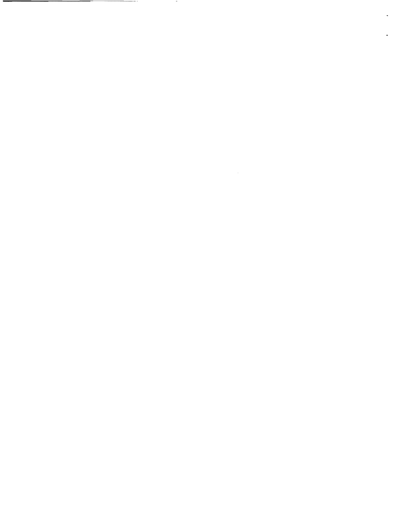$\tilde{\phantom{a}}$  $\bullet$  $\label{eq:2.1} \frac{1}{\sqrt{2}}\int_{\mathbb{R}^3}\frac{1}{\sqrt{2}}\left(\frac{1}{\sqrt{2}}\right)^2\frac{1}{\sqrt{2}}\left(\frac{1}{\sqrt{2}}\right)^2\frac{1}{\sqrt{2}}\left(\frac{1}{\sqrt{2}}\right)^2\frac{1}{\sqrt{2}}\left(\frac{1}{\sqrt{2}}\right)^2.$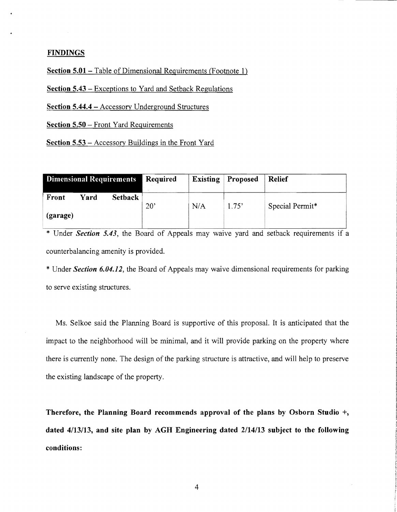## FINDINGS

Section 5.01 – Table of Dimensional Requirements (Footnote 1)

Section 5.43 - Exceptions to Yard and Setback Regulations

Section 5.44.4 - Accessory Underground Structures

Section 5.50 - Front Yard Requirements

Section 5.53 – Accessory Buildings in the Front Yard

| Dimensional Requirements |      |                | Required     |     | <b>Existing Proposed</b> | <b>Relief</b>   |
|--------------------------|------|----------------|--------------|-----|--------------------------|-----------------|
| Front                    | Yard | <b>Setback</b> | $20^{\circ}$ | N/A | 1.75'                    | Special Permit* |
| (garage)                 |      |                |              |     |                          |                 |

\* Under *Section* 5.43, the Board of Appeals may waive yard and setback requirements if a counterbalancing amenity is provided.

\* Under *Section 6.04.12,* the Board of Appeals may waive dimensional requirements for parking to serve existing structures.

Ms. Selkoe said the Planning Board is supportive of this proposal. It is anticipated that the impact to the neighborhood will be minimal, and it will provide parking on the property where there is currently none. The design of the parking structure is attractive, and will help to preserve the existing landscape of the property.

Therefore, the Planning Board recommends approval of the plans by Osborn Studio +, dated *4/13/13,* and site plan by AGH Engineering dated *2/14/13* subject to the following conditions: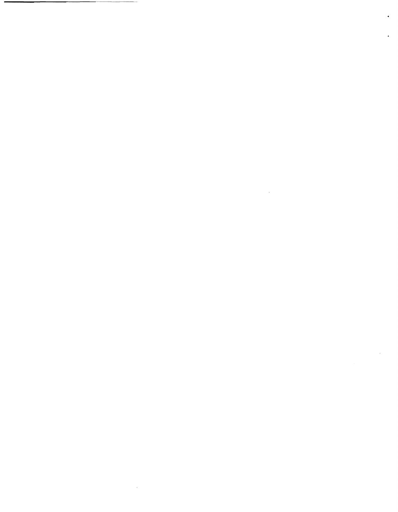$\overline{\mathcal{L}}$ 

 $\label{eq:2.1} \frac{1}{\sqrt{2\pi}}\int_{0}^{\infty}\frac{1}{\sqrt{2\pi}}\left(\frac{1}{\sqrt{2\pi}}\right)^{2\pi} \frac{1}{\sqrt{2\pi}}\int_{0}^{\infty}\frac{1}{\sqrt{2\pi}}\left(\frac{1}{\sqrt{2\pi}}\right)^{2\pi} \frac{1}{\sqrt{2\pi}}\frac{1}{\sqrt{2\pi}}\int_{0}^{\infty}\frac{1}{\sqrt{2\pi}}\frac{1}{\sqrt{2\pi}}\frac{1}{\sqrt{2\pi}}\frac{1}{\sqrt{2\pi}}\frac{1}{\sqrt{2\pi}}\frac{1}{\sqrt{$ 

 $\mathcal{L}^{\text{max}}_{\text{max}}$ 

 $\mathcal{L}^{\text{max}}_{\text{max}}$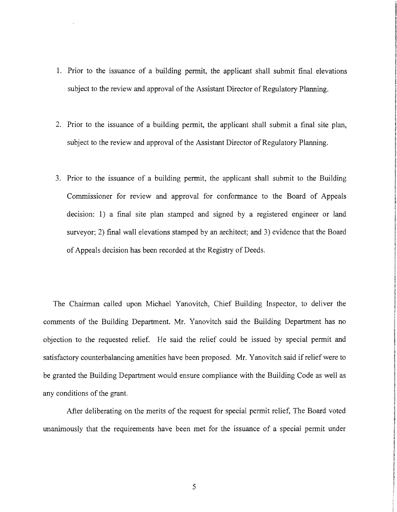- 1. Prior to the issuance of a building permit, the applicant shall submit final elevations subject to the review and approval of the Assistant Director of Regulatory Planning.
- 2. Prior to the issuance of a building permit, the applicant shall submit a final site plan, subject to the review and approval of the Assistant Director of Regulatory Planning.
- 3. Prior to the issuance of a building permit, the applicant shall submit to the Building Commissioner for review and approval for conformance to the Board of Appeals decision: 1) a final site plan stamped and signed by a registered engineer or land surveyor; 2) final wall elevations stamped by an architect; and 3) evidence that the Board of Appeals decision has been recorded at the Registry of Deeds.

The Chairman called upon Michael Yanovitch, Chief Building Inspector, to deliver the comments of the Building Department. Mr. Yanovitch said the Building Department has no objection to the requested relief. He said the relief could be issued by special permit and satisfactory counterbalancing amenities have been proposed. Mr. Yanovitch said if relief were to be granted the Building Department would ensure compliance with the Building Code as well as any conditions of the grant.

After deliberating on the merits of the request for special permit relief, The Board voted tmanirnously that the requirements have been met for the issuance of a special permit under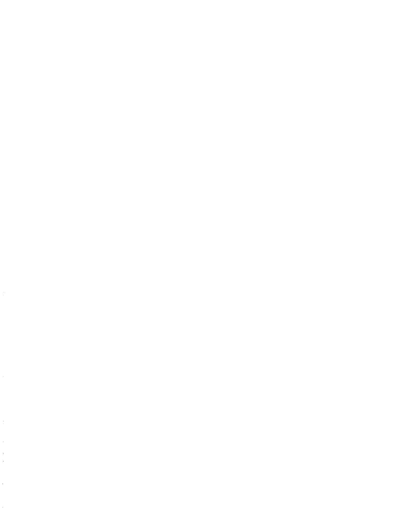$\hat{\sigma}$ š s.  $\label{eq:2.1} \mathcal{L}(\mathcal{L}) = \mathcal{L}(\mathcal{L})$  $\bar{z}$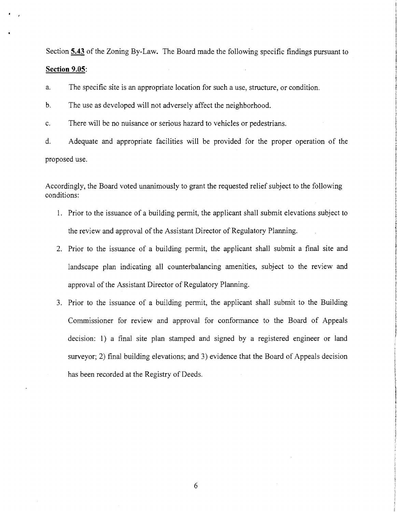Section **5.43** of the Zoning By-Law. The Board made the following specific findings pursuant to **Section 9.05:** 

a. The specific site is an appropriate location for such a use, structure, or condition.

b. The use as developed will not adversely affect the neighborhood.

c. There will be no nuisance or serious hazard to vehicles or pedestrians.

d. Adequate and appropriate facilities will be provided for the proper operation of the proposed use.

Accordingly, the Board voted unanimously to grant the requested relief subject to the following conditions:

- 1. Prior to the issuance of a building permit, the applicant shall submit elevations subject to the review and approval of the Assistant Director of Regulatory Planning.
- 2. Prior to the issuance of a building permit, the applicant shall submit a final site and landscape plan indicating all counterbalancing amenities, subject to the review and approval of the Assistant Director of Regulatory Planning.
- 3. Prior to the issuance of a building permit, the applicant shall submit to the Building Commissioner for review and approval for conformance to the Board of Appeals decision: 1) a final site plan stamped and signed by a registered engineer or land surveyor; 2) final building elevations; and 3) evidence that the Board of Appeals decision has been recorded at the Registry of Deeds.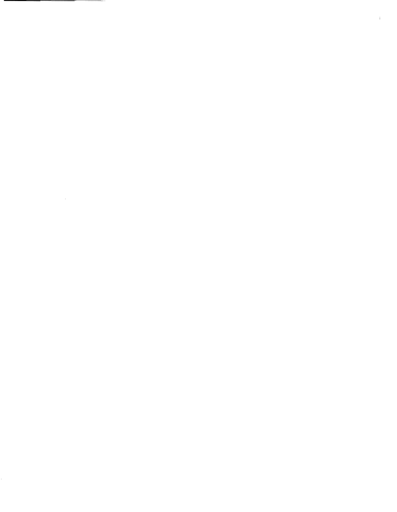$\mathcal{L}^{\text{max}}_{\text{max}}$  and  $\mathcal{L}^{\text{max}}_{\text{max}}$ 

 $\label{eq:2.1} \frac{1}{\sqrt{2}}\int_{0}^{\infty}\frac{1}{\sqrt{2\pi}}\left(\frac{1}{\sqrt{2\pi}}\right)^{2\alpha} \frac{1}{\sqrt{2\pi}}\int_{0}^{\infty}\frac{1}{\sqrt{2\pi}}\left(\frac{1}{\sqrt{2\pi}}\right)^{\alpha} \frac{1}{\sqrt{2\pi}}\frac{1}{\sqrt{2\pi}}\int_{0}^{\infty}\frac{1}{\sqrt{2\pi}}\frac{1}{\sqrt{2\pi}}\frac{1}{\sqrt{2\pi}}\frac{1}{\sqrt{2\pi}}\frac{1}{\sqrt{2\pi}}\frac{1}{\sqrt{2\pi}}$ 

k,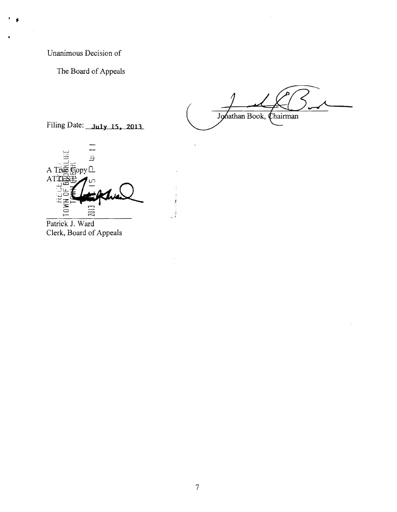Unanimous Decision of

f

The Board of Appeals

Jonathan Book, Chairman

Filing Date: **July 15. 2013** 

ä A TrisGopy ATT ◯ 忌

Patrick J. Ward Clerk, Board of Appeals j